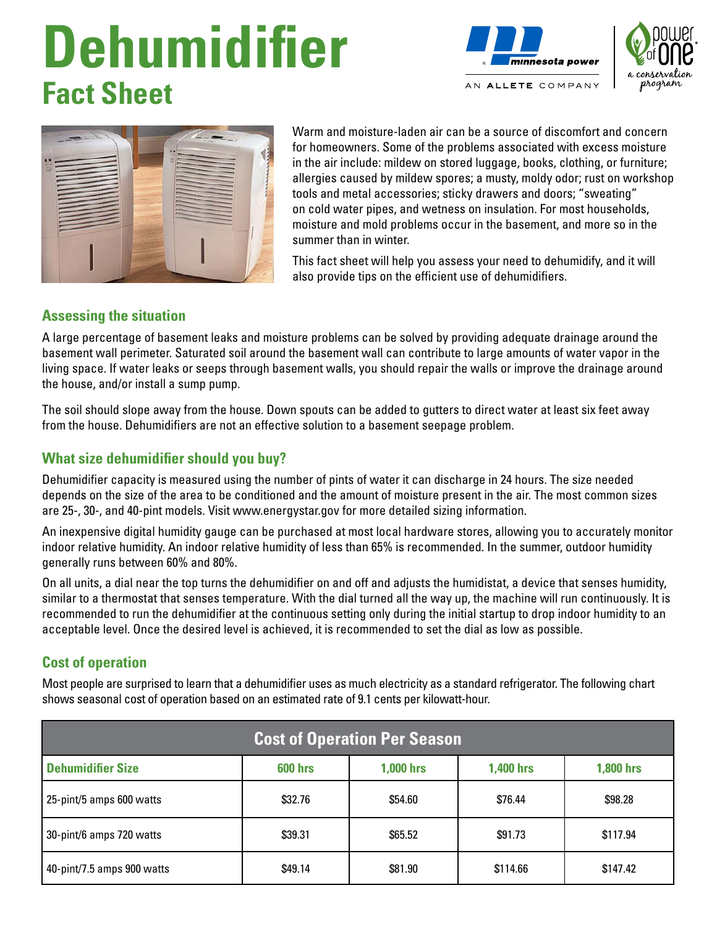# **Dehumidifier Fact Sheet**







Warm and moisture-laden air can be a source of discomfort and concern for homeowners. Some of the problems associated with excess moisture in the air include: mildew on stored luggage, books, clothing, or furniture; allergies caused by mildew spores; a musty, moldy odor; rust on workshop tools and metal accessories; sticky drawers and doors; "sweating" on cold water pipes, and wetness on insulation. For most households, moisture and mold problems occur in the basement, and more so in the summer than in winter.

This fact sheet will help you assess your need to dehumidify, and it will also provide tips on the efficient use of dehumidifiers.

#### **Assessing the situation**

A large percentage of basement leaks and moisture problems can be solved by providing adequate drainage around the basement wall perimeter. Saturated soil around the basement wall can contribute to large amounts of water vapor in the living space. If water leaks or seeps through basement walls, you should repair the walls or improve the drainage around the house, and/or install a sump pump.

The soil should slope away from the house. Down spouts can be added to gutters to direct water at least six feet away from the house. Dehumidifiers are not an effective solution to a basement seepage problem.

### **What size dehumidifier should you buy?**

Dehumidifier capacity is measured using the number of pints of water it can discharge in 24 hours. The size needed depends on the size of the area to be conditioned and the amount of moisture present in the air. The most common sizes are 25-, 30-, and 40-pint models. Visit www.energystar.gov for more detailed sizing information.

An inexpensive digital humidity gauge can be purchased at most local hardware stores, allowing you to accurately monitor indoor relative humidity. An indoor relative humidity of less than 65% is recommended. In the summer, outdoor humidity generally runs between 60% and 80%.

On all units, a dial near the top turns the dehumidifier on and off and adjusts the humidistat, a device that senses humidity, similar to a thermostat that senses temperature. With the dial turned all the way up, the machine will run continuously. It is recommended to run the dehumidifier at the continuous setting only during the initial startup to drop indoor humidity to an acceptable level. Once the desired level is achieved, it is recommended to set the dial as low as possible.

## **Cost of operation**

Most people are surprised to learn that a dehumidifier uses as much electricity as a standard refrigerator. The following chart shows seasonal cost of operation based on an estimated rate of 9.1 cents per kilowatt-hour.

| <b>Cost of Operation Per Season</b> |                |                  |                  |                  |
|-------------------------------------|----------------|------------------|------------------|------------------|
| <b>Dehumidifier Size</b>            | <b>600 hrs</b> | <b>1,000 hrs</b> | <b>1,400 hrs</b> | <b>1,800 hrs</b> |
| 25-pint/5 amps 600 watts            | \$32.76        | \$54.60          | \$76.44          | \$98.28          |
| 30-pint/6 amps 720 watts            | \$39.31        | \$65.52          | \$91.73          | \$117.94         |
| 40-pint/7.5 amps 900 watts          | \$49.14        | \$81.90          | \$114.66         | \$147.42         |